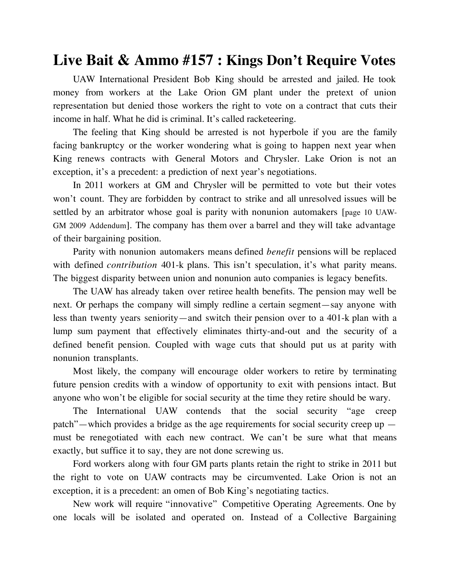## **Live Bait & Ammo #157 : Kings Don't Require Votes**

UAW International President Bob King should be arrested and jailed. He took money from workers at the Lake Orion GM plant under the pretext of union representation but denied those workers the right to vote on a contract that cuts their income in half. What he did is criminal. It's called racketeering.

The feeling that King should be arrested is not hyperbole if you are the family facing bankruptcy or the worker wondering what is going to happen next year when King renews contracts with General Motors and Chrysler. Lake Orion is not an exception, it's a precedent: a prediction of next year's negotiations.

In 2011 workers at GM and Chrysler will be permitted to vote but their votes won't count. They are forbidden by contract to strike and all unresolved issues will be settled by an arbitrator whose goal is parity with nonunion automakers [page 10 UAW-GM 2009 Addendum]. The company has them over a barrel and they will take advantage of their bargaining position.

Parity with nonunion automakers means defined *benefit* pensions will be replaced with defined *contribution* 401-k plans. This isn't speculation, it's what parity means. The biggest disparity between union and nonunion auto companies is legacy benefits.

The UAW has already taken over retiree health benefits. The pension may well be next. Or perhaps the company will simply redline a certain segment—say anyone with less than twenty years seniority—and switch their pension over to a 401-k plan with a lump sum payment that effectively eliminates thirty-and-out and the security of a defined benefit pension. Coupled with wage cuts that should put us at parity with nonunion transplants.

Most likely, the company will encourage older workers to retire by terminating future pension credits with a window of opportunity to exit with pensions intact. But anyone who won't be eligible for social security at the time they retire should be wary.

The International UAW contends that the social security "age creep patch"—which provides a bridge as the age requirements for social security creep up must be renegotiated with each new contract. We can't be sure what that means exactly, but suffice it to say, they are not done screwing us.

Ford workers along with four GM parts plants retain the right to strike in 2011 but the right to vote on UAW contracts may be circumvented. Lake Orion is not an exception, it is a precedent: an omen of Bob King's negotiating tactics.

New work will require "innovative" Competitive Operating Agreements. One by one locals will be isolated and operated on. Instead of a Collective Bargaining